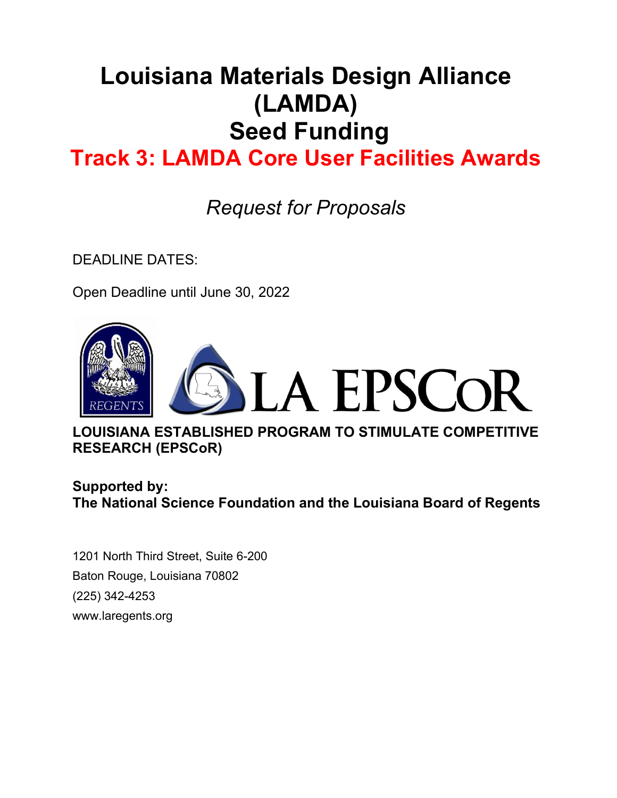# **Louisiana Materials Design Alliance (LAMDA) Seed Funding**

## **Track 3: LAMDA Core User Facilities Awards**

*Request for Proposals*

DEADLINE DATES:

Open Deadline until June 30, 2022



**LOUISIANA ESTABLISHED PROGRAM TO STIMULATE COMPETITIVE RESEARCH (EPSCoR)**

**Supported by: The National Science Foundation and the Louisiana Board of Regents**

1201 North Third Street, Suite 6-200 Baton Rouge, Louisiana 70802 (225) 342-4253 www.laregents.org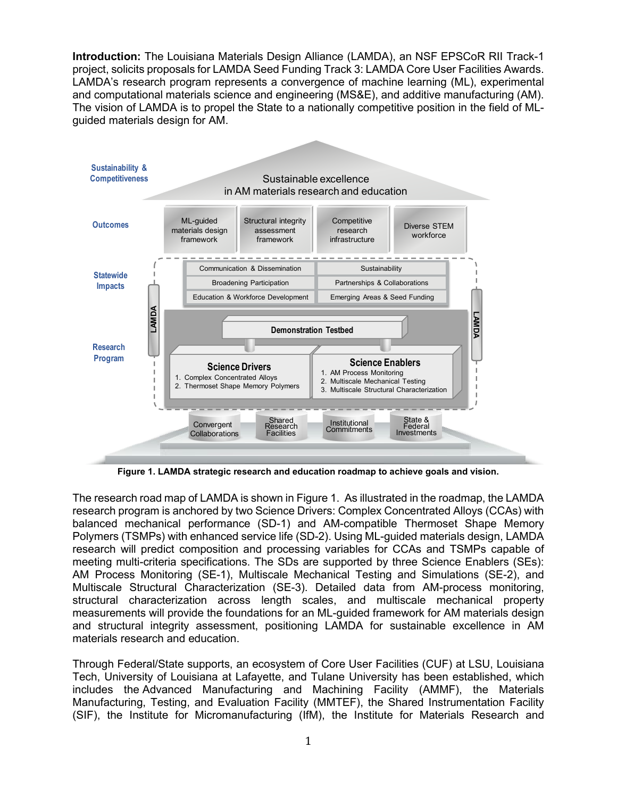**Introduction:** The Louisiana Materials Design Alliance (LAMDA), an NSF EPSCoR RII Track-1 project, solicits proposals for LAMDA Seed Funding Track 3: LAMDA Core User Facilities Awards. LAMDA's research program represents a convergence of machine learning (ML), experimental and computational materials science and engineering (MS&E), and additive manufacturing (AM). The vision of LAMDA is to propel the State to a nationally competitive position in the field of MLguided materials design for AM.



**Figure 1. LAMDA strategic research and education roadmap to achieve goals and vision.**

The research road map of LAMDA is shown in Figure 1. As illustrated in the roadmap, the LAMDA research program is anchored by two Science Drivers: Complex Concentrated Alloys (CCAs) with balanced mechanical performance (SD-1) and AM-compatible Thermoset Shape Memory Polymers (TSMPs) with enhanced service life (SD-2). Using ML-guided materials design, LAMDA research will predict composition and processing variables for CCAs and TSMPs capable of meeting multi-criteria specifications. The SDs are supported by three Science Enablers (SEs): AM Process Monitoring (SE-1), Multiscale Mechanical Testing and Simulations (SE-2), and Multiscale Structural Characterization (SE-3). Detailed data from AM-process monitoring, structural characterization across length scales, and multiscale mechanical property measurements will provide the foundations for an ML-guided framework for AM materials design and structural integrity assessment, positioning LAMDA for sustainable excellence in AM materials research and education.

Through Federal/State supports, an ecosystem of Core User Facilities (CUF) at LSU, Louisiana Tech, University of Louisiana at Lafayette, and Tulane University has been established, which includes the Advanced Manufacturing and Machining Facility (AMMF), the Materials Manufacturing, Testing, and Evaluation Facility (MMTEF), the Shared Instrumentation Facility (SIF), the Institute for Micromanufacturing (IfM), the Institute for Materials Research and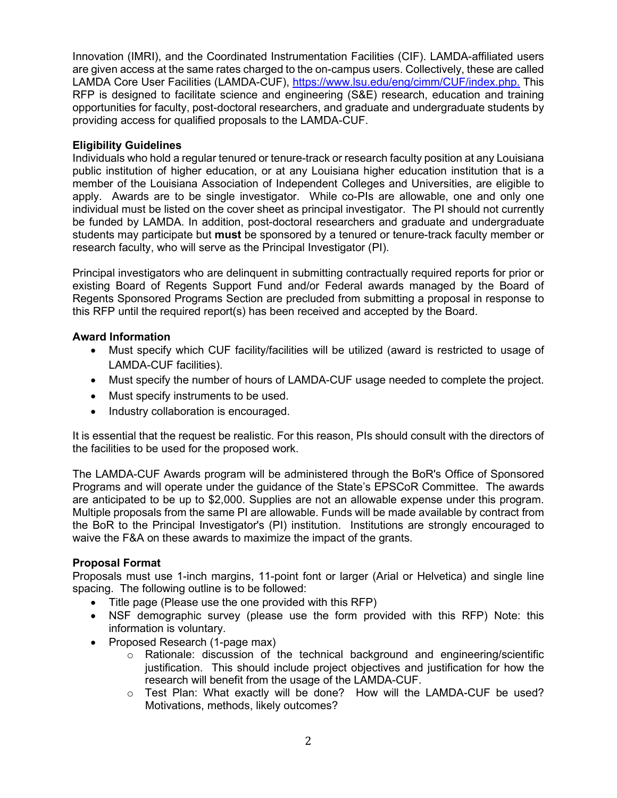Innovation (IMRI), and the Coordinated Instrumentation Facilities (CIF). LAMDA-affiliated users are given access at the same rates charged to the on-campus users. Collectively, these are called LAMDA Core User Facilities (LAMDA-CUF), [https://www.lsu.edu/eng/cimm/CUF/index.php.](https://www.lsu.edu/eng/cimm/CUF/index.php) This RFP is designed to facilitate science and engineering (S&E) research, education and training opportunities for faculty, post-doctoral researchers, and graduate and undergraduate students by providing access for qualified proposals to the LAMDA-CUF.

#### **Eligibility Guidelines**

Individuals who hold a regular tenured or tenure-track or research faculty position at any Louisiana public institution of higher education, or at any Louisiana higher education institution that is a member of the Louisiana Association of Independent Colleges and Universities, are eligible to apply. Awards are to be single investigator. While co-PIs are allowable, one and only one individual must be listed on the cover sheet as principal investigator. The PI should not currently be funded by LAMDA. In addition, post-doctoral researchers and graduate and undergraduate students may participate but **must** be sponsored by a tenured or tenure-track faculty member or research faculty, who will serve as the Principal Investigator (PI).

Principal investigators who are delinquent in submitting contractually required reports for prior or existing Board of Regents Support Fund and/or Federal awards managed by the Board of Regents Sponsored Programs Section are precluded from submitting a proposal in response to this RFP until the required report(s) has been received and accepted by the Board.

#### **Award Information**

- Must specify which CUF facility/facilities will be utilized (award is restricted to usage of LAMDA-CUF facilities).
- Must specify the number of hours of LAMDA-CUF usage needed to complete the project.
- Must specify instruments to be used.
- Industry collaboration is encouraged.

It is essential that the request be realistic. For this reason, PIs should consult with the directors of the facilities to be used for the proposed work.

The LAMDA-CUF Awards program will be administered through the BoR's Office of Sponsored Programs and will operate under the guidance of the State's EPSCoR Committee. The awards are anticipated to be up to \$2,000. Supplies are not an allowable expense under this program. Multiple proposals from the same PI are allowable. Funds will be made available by contract from the BoR to the Principal Investigator's (PI) institution. Institutions are strongly encouraged to waive the F&A on these awards to maximize the impact of the grants.

#### **Proposal Format**

Proposals must use 1-inch margins, 11-point font or larger (Arial or Helvetica) and single line spacing. The following outline is to be followed:

- Title page (Please use the one provided with this RFP)
- NSF demographic survey (please use the form provided with this RFP) Note: this information is voluntary.
- Proposed Research (1-page max)
	- o Rationale: discussion of the technical background and engineering/scientific justification. This should include project objectives and justification for how the research will benefit from the usage of the LAMDA-CUF.
	- o Test Plan: What exactly will be done? How will the LAMDA-CUF be used? Motivations, methods, likely outcomes?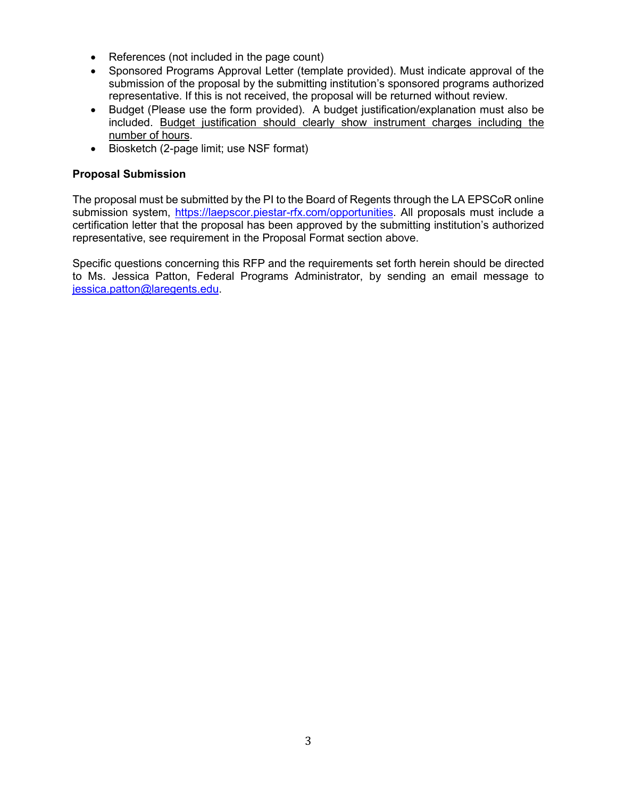- References (not included in the page count)
- Sponsored Programs Approval Letter (template provided). Must indicate approval of the submission of the proposal by the submitting institution's sponsored programs authorized representative. If this is not received, the proposal will be returned without review.
- Budget (Please use the form provided). A budget justification/explanation must also be included. Budget justification should clearly show instrument charges including the number of hours.
- Biosketch (2-page limit; use NSF format)

#### **Proposal Submission**

The proposal must be submitted by the PI to the Board of Regents through the LA EPSCoR online submission system, [https://laepscor.piestar-rfx.com/opportunities.](https://laepscor.piestar-rfx.com/opportunities) All proposals must include a certification letter that the proposal has been approved by the submitting institution's authorized representative, see requirement in the Proposal Format section above.

Specific questions concerning this RFP and the requirements set forth herein should be directed to Ms. Jessica Patton, Federal Programs Administrator, by sending an email message to [jessica.patton@laregents.e](mailto:jessica.patton@laregents.)du.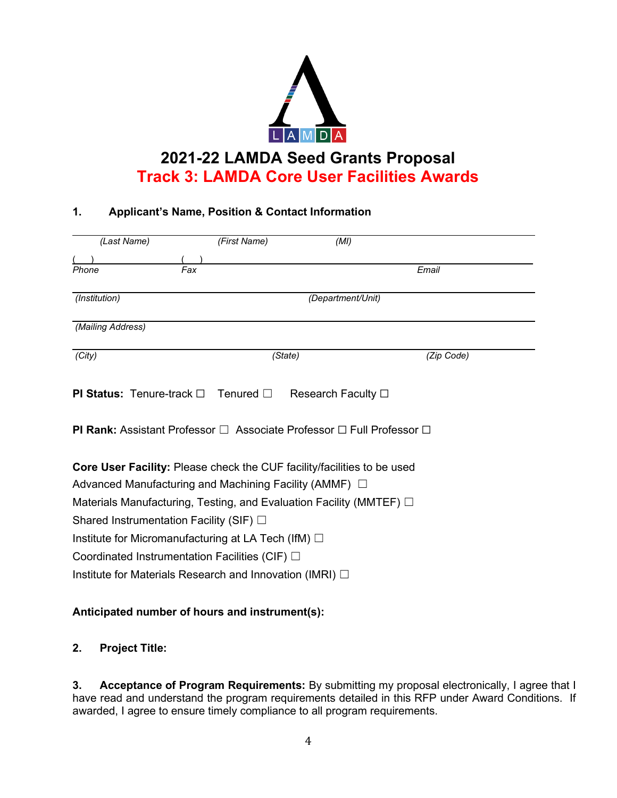

## **2021-22 LAMDA Seed Grants Proposal Track 3: LAMDA Core User Facilities Awards**

#### **1. Applicant's Name, Position & Contact Information**

| (Last Name)                                                                                 | (First Name)      | (MI)                       |            |  |  |  |  |  |  |
|---------------------------------------------------------------------------------------------|-------------------|----------------------------|------------|--|--|--|--|--|--|
|                                                                                             |                   |                            |            |  |  |  |  |  |  |
| Fax<br>Phone                                                                                |                   |                            | Email      |  |  |  |  |  |  |
| (Institution)                                                                               |                   | (Department/Unit)          |            |  |  |  |  |  |  |
| (Mailing Address)                                                                           |                   |                            |            |  |  |  |  |  |  |
| (City)                                                                                      | (State)           |                            | (Zip Code) |  |  |  |  |  |  |
| <b>PI Status:</b> Tenure-track $\Box$                                                       | Tenured $\square$ | Research Faculty $\square$ |            |  |  |  |  |  |  |
| <b>PI Rank:</b> Assistant Professor $\Box$ Associate Professor $\Box$ Full Professor $\Box$ |                   |                            |            |  |  |  |  |  |  |
| <b>Core User Facility:</b> Please check the CUF facility/facilities to be used              |                   |                            |            |  |  |  |  |  |  |
| Advanced Manufacturing and Machining Facility (AMMF) $\Box$                                 |                   |                            |            |  |  |  |  |  |  |
| Materials Manufacturing, Testing, and Evaluation Facility (MMTEF) $\Box$                    |                   |                            |            |  |  |  |  |  |  |
| Shared Instrumentation Facility (SIF) $\Box$                                                |                   |                            |            |  |  |  |  |  |  |
| Institute for Micromanufacturing at LA Tech (IfM) $\Box$                                    |                   |                            |            |  |  |  |  |  |  |
| Coordinated Instrumentation Facilities (CIF) $\Box$                                         |                   |                            |            |  |  |  |  |  |  |
| Institute for Materials Research and Innovation (IMRI) $\Box$                               |                   |                            |            |  |  |  |  |  |  |

#### **Anticipated number of hours and instrument(s):**

#### **2. Project Title:**

**3. Acceptance of Program Requirements:** By submitting my proposal electronically, I agree that I have read and understand the program requirements detailed in this RFP under Award Conditions. If awarded, I agree to ensure timely compliance to all program requirements.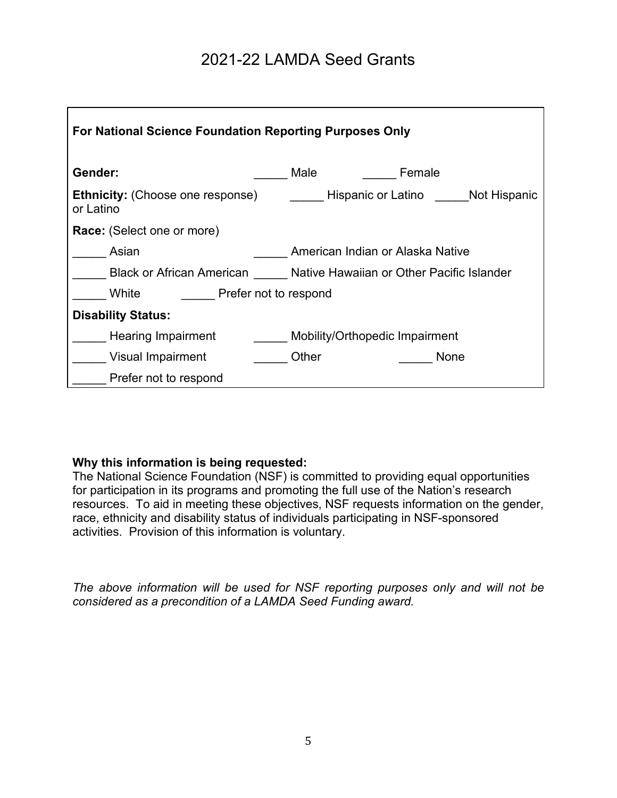## 2021-22 LAMDA Seed Grants

| For National Science Foundation Reporting Purposes Only |                                                                     |  |  |  |  |  |  |  |  |  |
|---------------------------------------------------------|---------------------------------------------------------------------|--|--|--|--|--|--|--|--|--|
| Gender:                                                 | Male<br>Female                                                      |  |  |  |  |  |  |  |  |  |
| <b>Ethnicity:</b> (Choose one response)<br>or Latino    | Hispanic or Latino             Not Hispanic                         |  |  |  |  |  |  |  |  |  |
| <b>Race:</b> (Select one or more)                       |                                                                     |  |  |  |  |  |  |  |  |  |
| Asian                                                   | American Indian or Alaska Native                                    |  |  |  |  |  |  |  |  |  |
|                                                         | Black or African American Mative Hawaiian or Other Pacific Islander |  |  |  |  |  |  |  |  |  |
| White<br><b>Prefer not to respond</b>                   |                                                                     |  |  |  |  |  |  |  |  |  |
| <b>Disability Status:</b>                               |                                                                     |  |  |  |  |  |  |  |  |  |
| <b>Hearing Impairment</b>                               | Mobility/Orthopedic Impairment                                      |  |  |  |  |  |  |  |  |  |
| Visual Impairment                                       | Other<br><b>None</b>                                                |  |  |  |  |  |  |  |  |  |
| Prefer not to respond                                   |                                                                     |  |  |  |  |  |  |  |  |  |

#### **Why this information is being requested:**

The National Science Foundation (NSF) is committed to providing equal opportunities for participation in its programs and promoting the full use of the Nation's research resources. To aid in meeting these objectives, NSF requests information on the gender, race, ethnicity and disability status of individuals participating in NSF-sponsored activities. Provision of this information is voluntary.

*The above information will be used for NSF reporting purposes only and will not be considered as a precondition of a LAMDA Seed Funding award.*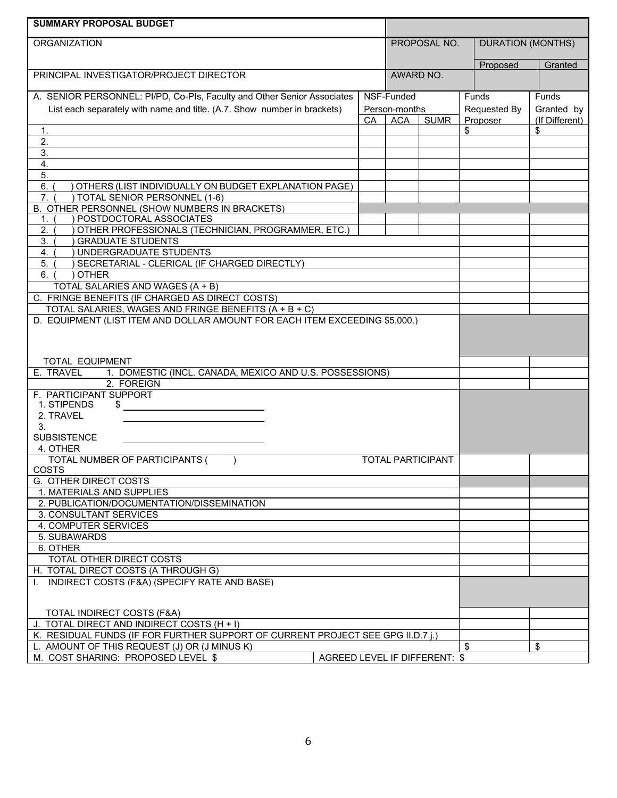| <b>SUMMARY PROPOSAL BUDGET</b>                                                            |  |           |                           |  |                |                          |                |  |
|-------------------------------------------------------------------------------------------|--|-----------|---------------------------|--|----------------|--------------------------|----------------|--|
| <b>ORGANIZATION</b>                                                                       |  |           | PROPOSAL NO.              |  |                | <b>DURATION (MONTHS)</b> |                |  |
|                                                                                           |  |           |                           |  |                |                          |                |  |
|                                                                                           |  | AWARD NO. |                           |  | Proposed       | Granted                  |                |  |
| PRINCIPAL INVESTIGATOR/PROJECT DIRECTOR                                                   |  |           |                           |  |                |                          |                |  |
| A. SENIOR PERSONNEL: PI/PD, Co-PIs, Faculty and Other Senior Associates                   |  |           | NSF-Funded                |  |                | Funds                    | <b>Funds</b>   |  |
| List each separately with name and title. (A.7. Show number in brackets)<br>Person-months |  |           |                           |  |                | Requested By             | Granted by     |  |
|                                                                                           |  | СA        | <b>SUMR</b><br><b>ACA</b> |  | Proposer<br>\$ |                          | (If Different) |  |
| 1.                                                                                        |  |           |                           |  |                |                          | \$             |  |
| 2.                                                                                        |  |           |                           |  |                |                          |                |  |
| 3.                                                                                        |  |           |                           |  |                |                          |                |  |
| 4.<br>$\overline{5}$ .                                                                    |  |           |                           |  |                |                          |                |  |
| 6.<br>OTHERS (LIST INDIVIDUALLY ON BUDGET EXPLANATION PAGE)                               |  |           |                           |  |                |                          |                |  |
| TOTAL SENIOR PERSONNEL (1-6)<br>7.                                                        |  |           |                           |  |                |                          |                |  |
| B. OTHER PERSONNEL (SHOW NUMBERS IN BRACKETS)                                             |  |           |                           |  |                |                          |                |  |
| POSTDOCTORAL ASSOCIATES<br>1.                                                             |  |           |                           |  |                |                          |                |  |
| OTHER PROFESSIONALS (TECHNICIAN, PROGRAMMER, ETC.)<br>2.                                  |  |           |                           |  |                |                          |                |  |
| 3.<br><b>GRADUATE STUDENTS</b>                                                            |  |           |                           |  |                |                          |                |  |
| $\overline{4}$ .<br>UNDERGRADUATE STUDENTS                                                |  |           |                           |  |                |                          |                |  |
| SECRETARIAL - CLERICAL (IF CHARGED DIRECTLY)<br>5.<br><b>OTHER</b><br>6.                  |  |           |                           |  |                |                          |                |  |
|                                                                                           |  |           |                           |  |                |                          |                |  |
| TOTAL SALARIES AND WAGES (A + B)<br>C. FRINGE BENEFITS (IF CHARGED AS DIRECT COSTS)       |  |           |                           |  |                |                          |                |  |
| TOTAL SALARIES, WAGES AND FRINGE BENEFITS (A + B + C)                                     |  |           |                           |  |                |                          |                |  |
| D. EQUIPMENT (LIST ITEM AND DOLLAR AMOUNT FOR EACH ITEM EXCEEDING \$5,000.)               |  |           |                           |  |                |                          |                |  |
|                                                                                           |  |           |                           |  |                |                          |                |  |
|                                                                                           |  |           |                           |  |                |                          |                |  |
|                                                                                           |  |           |                           |  |                |                          |                |  |
| TOTAL EQUIPMENT<br>1. DOMESTIC (INCL. CANADA, MEXICO AND U.S. POSSESSIONS)                |  |           |                           |  |                |                          |                |  |
| E. TRAVEL<br>2. FOREIGN                                                                   |  |           |                           |  |                |                          |                |  |
| F. PARTICIPANT SUPPORT                                                                    |  |           |                           |  |                |                          |                |  |
| 1. STIPENDS<br>\$                                                                         |  |           |                           |  |                |                          |                |  |
| 2. TRAVEL                                                                                 |  |           |                           |  |                |                          |                |  |
| 3.                                                                                        |  |           |                           |  |                |                          |                |  |
| <b>SUBSISTENCE</b>                                                                        |  |           |                           |  |                |                          |                |  |
| 4. OTHER                                                                                  |  |           |                           |  |                |                          |                |  |
| TOTAL NUMBER OF PARTICIPANTS (<br><b>TOTAL PARTICIPANT</b><br>COSTS                       |  |           |                           |  |                |                          |                |  |
| G. OTHER DIRECT COSTS                                                                     |  |           |                           |  |                |                          |                |  |
| 1. MATERIALS AND SUPPLIES                                                                 |  |           |                           |  |                |                          |                |  |
| 2. PUBLICATION/DOCUMENTATION/DISSEMINATION                                                |  |           |                           |  |                |                          |                |  |
| 3. CONSULTANT SERVICES                                                                    |  |           |                           |  |                |                          |                |  |
| 4. COMPUTER SERVICES                                                                      |  |           |                           |  |                |                          |                |  |
| 5. SUBAWARDS                                                                              |  |           |                           |  |                |                          |                |  |
| 6. OTHER                                                                                  |  |           |                           |  |                |                          |                |  |
| TOTAL OTHER DIRECT COSTS                                                                  |  |           |                           |  |                |                          |                |  |
| H. TOTAL DIRECT COSTS (A THROUGH G)                                                       |  |           |                           |  |                |                          |                |  |
| I. INDIRECT COSTS (F&A) (SPECIFY RATE AND BASE)                                           |  |           |                           |  |                |                          |                |  |
|                                                                                           |  |           |                           |  |                |                          |                |  |
| TOTAL INDIRECT COSTS (F&A)                                                                |  |           |                           |  |                |                          |                |  |
| J. TOTAL DIRECT AND INDIRECT COSTS (H + I)                                                |  |           |                           |  |                |                          |                |  |
| K. RESIDUAL FUNDS (IF FOR FURTHER SUPPORT OF CURRENT PROJECT SEE GPG II.D.7.1.)           |  |           |                           |  |                |                          |                |  |
| L. AMOUNT OF THIS REQUEST (J) OR (J MINUS K)                                              |  |           |                           |  | \$             |                          | \$             |  |
| M. COST SHARING: PROPOSED LEVEL \$<br>AGREED LEVEL IF DIFFERENT: \$                       |  |           |                           |  |                |                          |                |  |